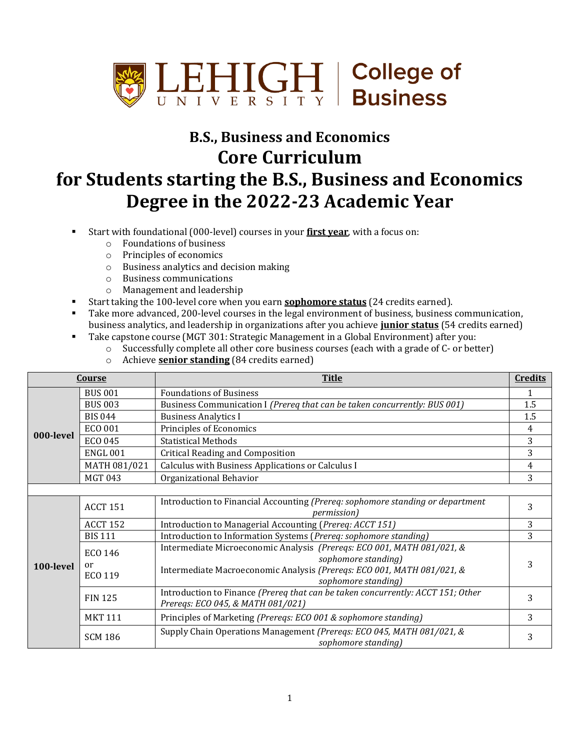

## **B.S., Business and Economics Core Curriculum for Students starting the B.S., Business and Economics Degree in the 2022-23 Academic Year**

- Start with foundational (000-level) courses in your **first year**, with a focus on:
	- o Foundations of business
	- o Principles of economics
	- o Business analytics and decision making
	- o Business communications
	- o Management and leadership
- Start taking the 100-level core when you earn **sophomore status** (24 credits earned).
- Take more advanced, 200-level courses in the legal environment of business, business communication, business analytics, and leadership in organizations after you achieve **junior status** (54 credits earned)
- Take capstone course (MGT 301: Strategic Management in a Global Environment) after you:
	- o Successfully complete all other core business courses (each with a grade of C- or better)
	- o Achieve **senior standing** (84 credits earned)

| Course    |                 | <b>Title</b>                                                                                                         | <b>Credits</b> |
|-----------|-----------------|----------------------------------------------------------------------------------------------------------------------|----------------|
| 000-level | <b>BUS 001</b>  | <b>Foundations of Business</b>                                                                                       |                |
|           | <b>BUS 003</b>  | Business Communication I (Prereq that can be taken concurrently: BUS 001)                                            | 1.5            |
|           | <b>BIS 044</b>  | <b>Business Analytics I</b>                                                                                          | 1.5            |
|           | ECO 001         | Principles of Economics                                                                                              | 4              |
|           | <b>ECO 045</b>  | <b>Statistical Methods</b>                                                                                           | 3              |
|           | <b>ENGL 001</b> | <b>Critical Reading and Composition</b>                                                                              | 3              |
|           | MATH 081/021    | Calculus with Business Applications or Calculus I                                                                    | 4              |
|           | <b>MGT 043</b>  | Organizational Behavior                                                                                              | 3              |
|           |                 |                                                                                                                      |                |
| 100-level | <b>ACCT 151</b> | Introduction to Financial Accounting (Prereq: sophomore standing or department<br><i>permission</i> )                | 3              |
|           | <b>ACCT 152</b> | Introduction to Managerial Accounting (Prereq: ACCT 151)                                                             | 3              |
|           | <b>BIS 111</b>  | Introduction to Information Systems (Prereq: sophomore standing)                                                     | 3              |
|           | ECO 146         | Intermediate Microeconomic Analysis (Prereqs: ECO 001, MATH 081/021, &                                               | 3              |
|           | or              | sophomore standing)                                                                                                  |                |
|           | ECO 119         | Intermediate Macroeconomic Analysis (Preregs: ECO 001, MATH 081/021, &<br>sophomore standing)                        |                |
|           | <b>FIN 125</b>  | Introduction to Finance (Prereq that can be taken concurrently: ACCT 151; Other<br>Prereqs: ECO 045, & MATH 081/021) | 3              |
|           | <b>MKT 111</b>  | Principles of Marketing (Prereqs: ECO 001 & sophomore standing)                                                      | 3              |
|           | <b>SCM 186</b>  | Supply Chain Operations Management (Prereqs: ECO 045, MATH 081/021, &<br>sophomore standing)                         | 3              |